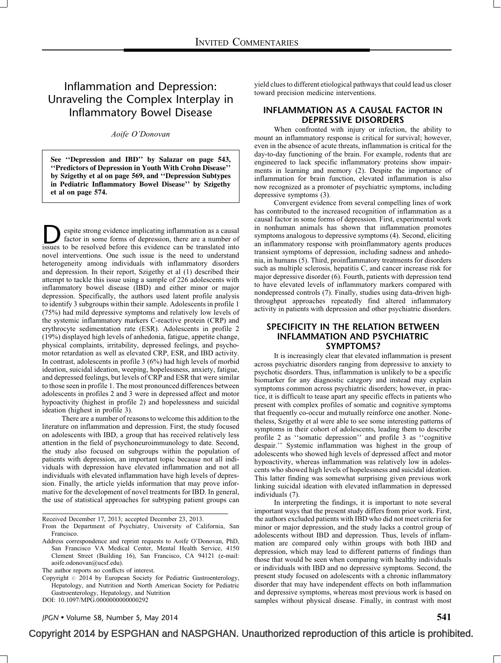# Inflammation and Depression: Unraveling the Complex Interplay in Inflammatory Bowel Disease

Aoife O'Donovan

See ''Depression and IBD'' by Salazar on page 543, ''Predictors of Depression in Youth With Crohn Disease'' by Szigethy et al on page 569, and ''Depression Subtypes in Pediatric Inflammatory Bowel Disease'' by Szigethy et al on page 574.

**Example Strong evidence implicating inflammation as a causal** factor in some forms of depression, there are a number of issues to be resolved before this evidence can be translated into factor in some forms of depression, there are a number of novel interventions. One such issue is the need to understand heterogeneity among individuals with inflammatory disorders and depression. In their report, Szigethy et al [\(1\)](#page-1-0) described their attempt to tackle this issue using a sample of 226 adolescents with inflammatory bowel disease (IBD) and either minor or major depression. Specifically, the authors used latent profile analysis to identify 3 subgroups within their sample. Adolescents in profile 1 (75%) had mild depressive symptoms and relatively low levels of the systemic inflammatory markers C-reactive protein (CRP) and erythrocyte sedimentation rate (ESR). Adolescents in profile 2 (19%) displayed high levels of anhedonia, fatigue, appetite change, physical complaints, irritability, depressed feelings, and psychomotor retardation as well as elevated CRP, ESR, and IBD activity. In contrast, adolescents in profile 3 (6%) had high levels of morbid ideation, suicidal ideation, weeping, hopelessness, anxiety, fatigue, and depressed feelings, but levels of CRP and ESR that were similar to those seen in profile 1. The most pronounced differences between adolescents in profiles 2 and 3 were in depressed affect and motor hypoactivity (highest in profile 2) and hopelessness and suicidal ideation (highest in profile 3).

There are a number of reasons to welcome this addition to the literature on inflammation and depression. First, the study focused on adolescents with IBD, a group that has received relatively less attention in the field of psychoneuroimmunology to date. Second, the study also focused on subgroups within the population of patients with depression, an important topic because not all individuals with depression have elevated inflammation and not all individuals with elevated inflammation have high levels of depression. Finally, the article yields information that may prove informative for the development of novel treatments for IBD. In general, the use of statistical approaches for subtyping patient groups can

Received December 17, 2013; accepted December 23, 2013.

The author reports no conflicts of interest.

Copyright  $\circ$  2014 by European Society for Pediatric Gastroenterology, Hepatology, and Nutrition and North American Society for Pediatric Gastroenterology, Hepatology, and Nutrition

DOI: [10.1097/MPG.0000000000000292](http://dx.doi.org/10.1097/MPG.0000000000000292)

yield clues to different etiological pathways that could lead us closer toward precision medicine interventions.

#### INFLAMMATION AS A CAUSAL FACTOR IN DEPRESSIVE DISORDERS

When confronted with injury or infection, the ability to mount an inflammatory response is critical for survival; however, even in the absence of acute threats, inflammation is critical for the day-to-day functioning of the brain. For example, rodents that are engineered to lack specific inflammatory proteins show impairments in learning and memory [\(2\).](#page-1-0) Despite the importance of inflammation for brain function, elevated inflammation is also now recognized as a promoter of psychiatric symptoms, including depressive symptoms [\(3\).](#page-1-0)

Convergent evidence from several compelling lines of work has contributed to the increased recognition of inflammation as a causal factor in some forms of depression. First, experimental work in nonhuman animals has shown that inflammation promotes symptoms analogous to depressive symptoms [\(4\).](#page-1-0) Second, eliciting an inflammatory response with proinflammatory agents produces transient symptoms of depression, including sadness and anhedonia, in humans [\(5\)](#page-1-0). Third, proinflammatory treatments for disorders such as multiple sclerosis, hepatitis C, and cancer increase risk for major depressive disorder [\(6\)](#page-1-0). Fourth, patients with depression tend to have elevated levels of inflammatory markers compared with nondepressed controls [\(7\)](#page-1-0). Finally, studies using data-driven highthroughput approaches repeatedly find altered inflammatory activity in patients with depression and other psychiatric disorders.

### SPECIFICITY IN THE RELATION BETWEEN INFLAMMATION AND PSYCHIATRIC SYMPTOMS?

It is increasingly clear that elevated inflammation is present across psychiatric disorders ranging from depressive to anxiety to psychotic disorders. Thus, inflammation is unlikely to be a specific biomarker for any diagnostic category and instead may explain symptoms common across psychiatric disorders; however, in practice, it is difficult to tease apart any specific effects in patients who present with complex profiles of somatic and cognitive symptoms that frequently co-occur and mutually reinforce one another. Nonetheless, Szigethy et al were able to see some interesting patterns of symptoms in their cohort of adolescents, leading them to describe profile 2 as ''somatic depression'' and profile 3 as ''cognitive despair.'' Systemic inflammation was highest in the group of adolescents who showed high levels of depressed affect and motor hypoactivity, whereas inflammation was relatively low in adolescents who showed high levels of hopelessness and suicidal ideation. This latter finding was somewhat surprising given previous work linking suicidal ideation with elevated inflammation in depressed individuals [\(7\).](#page-1-0)

In interpreting the findings, it is important to note several important ways that the present study differs from prior work. First, the authors excluded patients with IBD who did not meet criteria for minor or major depression, and the study lacks a control group of adolescents without IBD and depression. Thus, levels of inflammation are compared only within groups with both IBD and depression, which may lead to different patterns of findings than those that would be seen when comparing with healthy individuals or individuals with IBD and no depressive symptoms. Second, the present study focused on adolescents with a chronic inflammatory disorder that may have independent effects on both inflammation and depressive symptoms, whereas most previous work is based on samples without physical disease. Finally, in contrast with most

 $JPGN$  • Volume 58, Number 5, May 2014  $541$ 

From the Department of Psychiatry, University of California, San Francisco.

Address correspondence and reprint requests to Aoife O'Donovan, PhD, San Francisco VA Medical Center, Mental Health Service, 4150 Clement Street (Building 16), San Francisco, CA 94121 (e-mail: [aoife.odonovan@ucsf.edu\)](mailto:aoife.odonovan@ucsf.edu).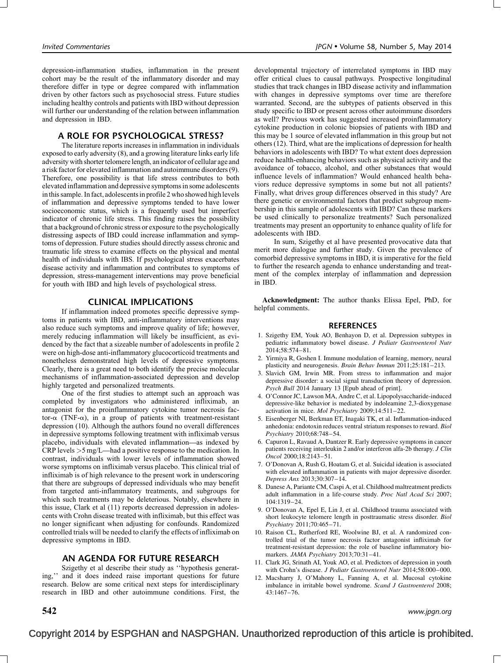<span id="page-1-0"></span>depression-inflammation studies, inflammation in the present cohort may be the result of the inflammatory disorder and may therefore differ in type or degree compared with inflammation driven by other factors such as psychosocial stress. Future studies including healthy controls and patients with IBD without depression will further our understanding of the relation between inflammation and depression in IBD.

## A ROLE FOR PSYCHOLOGICAL STRESS?

The literature reports increases in inflammation in individuals exposed to early adversity (8), and a growing literature links early life adversity with shorter telomerelength, an indicator of cellular age and a risk factor for elevated inflammation and autoimmune disorders (9). Therefore, one possibility is that life stress contributes to both elevated inflammation and depressive symptoms in some adolescents in this sample. In fact, adolescents in profile 2 who showed high levels of inflammation and depressive symptoms tended to have lower socioeconomic status, which is a frequently used but imperfect indicator of chronic life stress. This finding raises the possibility that a background of chronic stress or exposure to the psychologically distressing aspects of IBD could increase inflammation and symptoms of depression. Future studies should directly assess chronic and traumatic life stress to examine effects on the physical and mental health of individuals with IBS. If psychological stress exacerbates disease activity and inflammation and contributes to symptoms of depression, stress-management interventions may prove beneficial for youth with IBD and high levels of psychological stress.

### CLINICAL IMPLICATIONS

If inflammation indeed promotes specific depressive symptoms in patients with IBD, anti-inflammatory interventions may also reduce such symptoms and improve quality of life; however, merely reducing inflammation will likely be insufficient, as evidenced by the fact that a sizeable number of adolescents in profile 2 were on high-dose anti-inflammatory glucocorticoid treatments and nonetheless demonstrated high levels of depressive symptoms. Clearly, there is a great need to both identify the precise molecular mechanisms of inflammation-associated depression and develop highly targeted and personalized treatments.

One of the first studies to attempt such an approach was completed by investigators who administered infliximab, an antagonist for the proinflammatory cytokine tumor necrosis factor- $\alpha$  (TNF- $\alpha$ ), in a group of patients with treatment-resistant depression (10). Although the authors found no overall differences in depressive symptoms following treatment with infliximab versus placebo, individuals with elevated inflammation—as indexed by CRP levels >5 mg/L—had a positive response to the medication. In contrast, individuals with lower levels of inflammation showed worse symptoms on infliximab versus placebo. This clinical trial of infliximab is of high relevance to the present work in underscoring that there are subgroups of depressed individuals who may benefit from targeted anti-inflammatory treatments, and subgroups for which such treatments may be deleterious. Notably, elsewhere in this issue, Clark et al (11) reports decreased depression in adolescents with Crohn disease treated with infliximab, but this effect was no longer significant when adjusting for confounds. Randomized controlled trials will be needed to clarify the effects of infliximab on depressive symptoms in IBD.

#### AN AGENDA FOR FUTURE RESEARCH

Szigethy et al describe their study as ''hypothesis generating,'' and it does indeed raise important questions for future research. Below are some critical next steps for interdisciplinary research in IBD and other autoimmune conditions. First, the

developmental trajectory of interrelated symptoms in IBD may offer critical clues to causal pathways. Prospective longitudinal studies that track changes in IBD disease activity and inflammation with changes in depressive symptoms over time are therefore warranted. Second, are the subtypes of patients observed in this study specific to IBD or present across other autoimmune disorders as well? Previous work has suggested increased proinflammatory cytokine production in colonic biopsies of patients with IBD and this may be 1 source of elevated inflammation in this group but not others (12). Third, what are the implications of depression for health behaviors in adolescents with IBD? To what extent does depression reduce health-enhancing behaviors such as physical activity and the avoidance of tobacco, alcohol, and other substances that would influence levels of inflammation? Would enhanced health behaviors reduce depressive symptoms in some but not all patients? Finally, what drives group differences observed in this study? Are there genetic or environmental factors that predict subgroup membership in this sample of adolescents with IBD? Can these markers be used clinically to personalize treatments? Such personalized treatments may present an opportunity to enhance quality of life for adolescents with IBD.

In sum, Szigethy et al have presented provocative data that merit more dialogue and further study. Given the prevalence of comorbid depressive symptoms in IBD, it is imperative for the field to further the research agenda to enhance understanding and treatment of the complex interplay of inflammation and depression in IBD.

Acknowledgment: The author thanks Elissa Epel, PhD, for helpful comments.

#### **REFERENCES**

- 1. Szigethy EM, Youk AO, Benhayon D, et al. Depression subtypes in pediatric inflammatory bowel disease. J Pediatr Gastroenterol Nutr 2014;58:574–81.
- 2. Yirmiya R, Goshen I. Immune modulation of learning, memory, neural plasticity and neurogenesis. Brain Behav Immun 2011;25:181-213.
- 3. Slavich GM, Irwin MR. From stress to inflammation and major depressive disorder: a social signal transduction theory of depression. Psych Bull 2014 January 13 [Epub ahead of print].
- 4. O'Connor JC, Lawson MA, Andre C, et al. Lipopolysaccharide-induced depressive-like behavior is mediated by indoleamine 2,3-dioxygenase activation in mice. Mol Psychiatry 2009;14:511–22.
- 5. Eisenberger NI, Berkman ET, Inagaki TK, et al. Inflammation-induced anhedonia: endotoxin reduces ventral striatum responses to reward. Biol Psychiatry 2010;68:748–54.
- 6. Capuron L, Ravaud A, Dantzer R. Early depressive symptoms in cancer patients receiving interleukin 2 and/or interferon alfa-2b therapy. J Clin Oncol 2000;18:2143–51.
- 7. O'Donovan A, Rush G, Hoatam G, et al. Suicidal ideation is associated with elevated inflammation in patients with major depressive disorder. Depress Anx 2013;30:307–14.
- 8. Danese A, Pariante CM, Caspi A, et al. Childhood maltreatment predicts adult inflammation in a life-course study. Proc Natl Acad Sci 2007; 104:1319–24.
- 9. O'Donovan A, Epel E, Lin J, et al. Childhood trauma associated with short leukocyte telomere length in posttraumatic stress disorder. Biol Psychiatry 2011;70:465–71.
- 10. Raison CL, Rutherford RE, Woolwine BJ, et al. A randomized controlled trial of the tumor necrosis factor antagonist infliximab for treatment-resistant depression: the role of baseline inflammatory biomarkers. JAMA Psychiatry 2013;70:31–41.
- 11. Clark JG, Srinath AI, Youk AO, et al. Predictors of depression in youth with Crohn's disease. J Pediatr Gastroenterol Nutr 2014;58:000–000.
- 12. Macsharry J, O'Mahony L, Fanning A, et al. Mucosal cytokine imbalance in irritable bowel syndrome. Scand J Gastroenterol 2008; 43:1467–76.

 $542$  www.jpgn.org www.jpgn.org www.jpgn.org www.jpgn.org www.jpgn.org  $\,$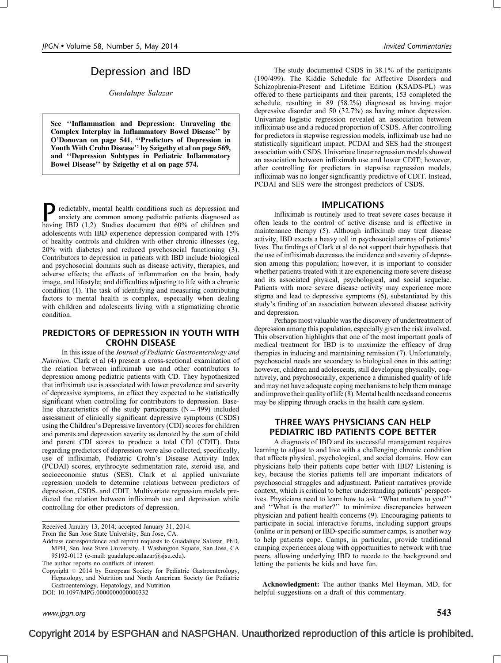# Depression and IBD

#### Guadalupe Salazar

See ''Inflammation and Depression: Unraveling the Complex Interplay in Inflammatory Bowel Disease'' by O'Donovan on page 541, ''Predictors of Depression in Youth With Crohn Disease'' by Szigethy et al on page 569, and ''Depression Subtypes in Pediatric Inflammatory Bowel Disease'' by Szigethy et al on page 574.

redictably, mental health conditions such as depression and anxiety are common among pediatric patients diagnosed as having IBD (1.2). Studies document that 60% of children and adolescents with IBD experience depression compared with 15% of healthy controls and children with other chronic illnesses (eg, 20% with diabetes) and reduced psychosocial functioning [\(3\).](#page-1-0) Contributors to depression in patients with IBD include biological and psychosocial domains such as disease activity, therapies, and adverse effects; the effects of inflammation on the brain, body image, and lifestyle; and difficulties adjusting to life with a chronic condition [\(1\).](#page-1-0) The task of identifying and measuring contributing factors to mental health is complex, especially when dealing with children and adolescents living with a stigmatizing chronic condition.

### PREDICTORS OF DEPRESSION IN YOUTH WITH CROHN DISEASE

In this issue of the Journal of Pediatric Gastroenterology and Nutrition, Clark et al [\(4\)](#page-1-0) present a cross-sectional examination of the relation between infliximab use and other contributors to depression among pediatric patients with CD. They hypothesized that infliximab use is associated with lower prevalence and severity of depressive symptoms, an effect they expected to be statistically significant when controlling for contributors to depression. Baseline characteristics of the study participants  $(N = 499)$  included assessment of clinically significant depressive symptoms (CSDS) using the Children's Depressive Inventory (CDI) scores for children and parents and depression severity as denoted by the sum of child and parent CDI scores to produce a total CDI (CDIT). Data regarding predictors of depression were also collected, specifically, use of infliximab, Pediatric Crohn's Disease Activity Index (PCDAI) scores, erythrocyte sedimentation rate, steroid use, and socioeconomic status (SES). Clark et al applied univariate regression models to determine relations between predictors of depression, CSDS, and CDIT. Multivariate regression models predicted the relation between infliximab use and depression while controlling for other predictors of depression.

Received January 13, 2014; accepted January 31, 2014. From the San Jose State University, San Jose, CA.

The author reports no conflicts of interest.

DOI: [10.1097/MPG.0000000000000332](http://dx.doi.org/10.1097/MPG.0000000000000324)

www.jpgn.org  $543$ 

The study documented CSDS in 38.1% of the participants (190/499). The Kiddie Schedule for Affective Disorders and Schizophrenia-Present and Lifetime Edition (KSADS-PL) was offered to these participants and their parents; 153 completed the schedule, resulting in 89 (58.2%) diagnosed as having major depressive disorder and 50 (32.7%) as having minor depression. Univariate logistic regression revealed an association between infliximab use and a reduced proportion of CSDS. After controlling for predictors in stepwise regression models, infliximab use had no statistically significant impact. PCDAI and SES had the strongest association with CSDS. Univariate linear regression models showed an association between infliximab use and lower CDIT; however, after controlling for predictors in stepwise regression models, infliximab was no longer significantly predictive of CDIT. Instead, PCDAI and SES were the strongest predictors of CSDS.

#### IMPLICATIONS

Infliximab is routinely used to treat severe cases because it often leads to the control of active disease and is effective in maintenance therapy [\(5\).](#page-1-0) Although infliximab may treat disease activity, IBD exacts a heavy toll in psychosocial arenas of patients' lives. The findings of Clark et al do not support their hypothesis that the use of infliximab decreases the incidence and severity of depression among this population; however, it is important to consider whether patients treated with it are experiencing more severe disease and its associated physical, psychological, and social sequelae. Patients with more severe disease activity may experience more stigma and lead to depressive symptoms [\(6\),](#page-1-0) substantiated by this study's finding of an association between elevated disease activity and depression.

Perhaps most valuable was the discovery of undertreatment of depression among this population, especially given the risk involved. This observation highlights that one of the most important goals of medical treatment for IBD is to maximize the efficacy of drug therapies in inducing and maintaining remission [\(7\).](#page-1-0) Unfortunately, psychosocial needs are secondary to biological ones in this setting; however, children and adolescents, still developing physically, cognitively, and psychosocially, experience a diminished quality of life and may not have adequate coping mechanisms to help them manage and improve their quality of life [\(8\)](#page-1-0). Mental health needs and concerns may be slipping through cracks in the health care system.

## THREE WAYS PHYSICIANS CAN HELP PEDIATRIC IBD PATIENTS COPE BETTER

A diagnosis of IBD and its successful management requires learning to adjust to and live with a challenging chronic condition that affects physical, psychological, and social domains. How can physicians help their patients cope better with IBD? Listening is key, because the stories patients tell are important indicators of psychosocial struggles and adjustment. Patient narratives provide context, which is critical to better understanding patients' perspectives. Physicians need to learn how to ask ''What matters to you?'' and ''What is the matter?'' to minimize discrepancies between physician and patient health concerns [\(9\)](#page-1-0). Encouraging patients to participate in social interactive forums, including support groups (online or in person) or IBD-specific summer camps, is another way to help patients cope. Camps, in particular, provide traditional camping experiences along with opportunities to network with true peers, allowing underlying IBD to recede to the background and letting the patients be kids and have fun.

Acknowledgment: The author thanks Mel Heyman, MD, for helpful suggestions on a draft of this commentary.

Address correspondence and reprint requests to Guadalupe Salazar, PhD, MPH, San Jose State University, 1 Washington Square, San Jose, CA 95192-0113 (e-mail: [guadalupe.salazar@sjsu.edu\)](mailto:guadalupe.salazar@sjsu.edu).

Copyright  $@$  2014 by European Society for Pediatric Gastroenterology, Hepatology, and Nutrition and North American Society for Pediatric Gastroenterology, Hepatology, and Nutrition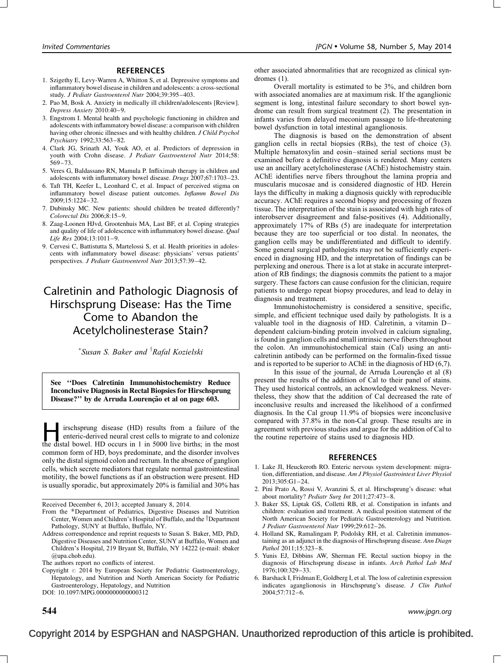#### REFERENCES

- 1. Szigethy E, Levy-Warren A, Whitton S, et al. Depressive symptoms and inflammatory bowel disease in children and adolescents: a cross-sectional study. J Pediatr Gastroenterol Nutr 2004;39:395–403.
- 2. Pao M, Bosk A. Anxiety in medically ill children/adolescents [Review]. Depress Anxiety 2010:40–9.
- 3. Engstrom I. Mental health and psychologic functioning in children and adolescents with inflammatory bowel disease: a comparison with children having other chronic illnesses and with healthy children. J Child Psychol Psychiatry 1992;33:563–82.
- 4. Clark JG, Srinath AI, Youk AO, et al. Predictors of depression in youth with Crohn disease. J Pediatr Gastroenterol Nutr 2014;58: 569–73.
- 5. Veres G, Baldassano RN, Mamula P. Infliximab therapy in children and adolescents with inflammatory bowel disease. Drugs 2007;67:1703–23.
- 6. Taft TH, Keefer L, Leonhard C, et al. Impact of perceived stigma on inflammatory bowel disease patient outcomes. Inflamm Bowel Dis 2009;15:1224–32.
- 7. Dubinsky MC. New patients: should children be treated differently? Colorectal Dis 2006;8:15–9.
- 8. Zaag-Loonen HJvd, Grootenhuis MA, Last BF, et al. Coping strategies and quality of life of adolescence with inflammatory bowel disease. Qual Life Res 2004;13:1011–9.
- 9. Cervesi C, Battistutta S, Martelossi S, et al. Health priorities in adolescents with inflammatory bowel disease: physicians' versus patients' perspectives. J Pediatr Gastroenterol Nutr 2013;57:39–42.

# Calretinin and Pathologic Diagnosis of Hirschsprung Disease: Has the Time Come to Abandon the Acetylcholinesterase Stain?

 $^*$ Susan S. Baker and  $^{\dagger}$ Rafal Kozielski

See ''Does Calretinin Immunohistochemistry Reduce Inconclusive Diagnosis in Rectal Biopsies for Hirschsprung Disease?" by de Arruda Lourenção et al on page 603.

Inschaprung disease (HD) results from a failure of the enteric-derived neural crest cells to migrate to and colonize the distal bowel. HD occurs in 1 in 5000 live births; in the most enteric-derived neural crest cells to migrate to and colonize common form of HD, boys predominate, and the disorder involves only the distal sigmoid colon and rectum. In the absence of ganglion cells, which secrete mediators that regulate normal gastrointestinal motility, the bowel functions as if an obstruction were present. HD is usually sporadic, but approximately 20% is familial and 30% has

Received December 6, 2013; accepted January 8, 2014.

- From the \*Department of Pediatrics, Digestive Diseases and Nutrition Center, Women and Children's Hospital of Buffalo, and the <sup>†</sup>Department Pathology, SUNY at Buffalo, Buffalo, NY.
- Address correspondence and reprint requests to Susan S. Baker, MD, PhD, Digestive Diseases and Nutrition Center, SUNY at Buffalo, Women and Children's Hospital, 219 Bryant St, Buffalo, NY 14222 (e-mail: [sbaker](mailto:sbaker@upa.chob.edu) [@upa.chob.edu](mailto:sbaker@upa.chob.edu)).

Copyright  $@$  2014 by European Society for Pediatric Gastroenterology, Hepatology, and Nutrition and North American Society for Pediatric Gastroenterology, Hepatology, and Nutrition

DOI: [10.1097/MPG.0000000000000312](http://dx.doi.org/10.1097/MPG.0000000000000324)

other associated abnormalities that are recognized as clinical syndromes [\(1\)](#page-1-0).

Overall mortality is estimated to be 3%, and children born with associated anomalies are at maximum risk. If the aganglionic segment is long, intestinal failure secondary to short bowel syndrome can result from surgical treatment [\(2\).](#page-1-0) The presentation in infants varies from delayed meconium passage to life-threatening bowel dysfunction in total intestinal aganglionosis.

The diagnosis is based on the demonstration of absent ganglion cells in rectal biopsies (RBs), the test of choice [\(3\)](#page-1-0). Multiple hematoxylin and eosin–stained serial sections must be examined before a definitive diagnosis is rendered. Many centers use an ancillary acetylcholinesterase (AChE) histochemistry stain. AChE identifies nerve fibers throughout the lamina propria and muscularis mucosae and is considered diagnostic of HD. Herein lays the difficulty in making a diagnosis quickly with reproducible accuracy. AChE requires a second biopsy and processing of frozen tissue. The interpretation of the stain is associated with high rates of interobserver disagreement and false-positives [\(4\)](#page-1-0). Additionally, approximately 17% of RBs [\(5\)](#page-1-0) are inadequate for interpretation because they are too superficial or too distal. In neonates, the ganglion cells may be undifferentiated and difficult to identify. Some general surgical pathologists may not be sufficiently experienced in diagnosing HD, and the interpretation of findings can be perplexing and onerous. There is a lot at stake in accurate interpretation of RB findings; the diagnosis commits the patient to a major surgery. These factors can cause confusion for the clinician, require patients to undergo repeat biopsy procedures, and lead to delay in diagnosis and treatment.

Immunohistochemistry is considered a sensitive, specific, simple, and efficient technique used daily by pathologists. It is a valuable tool in the diagnosis of HD. Calretinin, a vitamin D– dependent calcium-binding protein involved in calcium signaling, is found in ganglion cells and small intrinsic nerve fibers throughout the colon. An immunohistochemical stain (Cal) using an anticalretinin antibody can be performed on the formalin-fixed tissue and is reported to be superior to AChE in the diagnosis of HD [\(6,7\)](#page-1-0).

In this issue of the journal, de Arruda Lourenção et al  $(8)$ present the results of the addition of Cal to their panel of stains. They used historical controls, an acknowledged weakness. Nevertheless, they show that the addition of Cal decreased the rate of inconclusive results and increased the likelihood of a confirmed diagnosis. In the Cal group 11.9% of biopsies were inconclusive compared with 37.8% in the non-Cal group. These results are in agreement with previous studies and argue for the addition of Cal to the routine repertoire of stains used to diagnosis HD.

#### REFERENCES

- 1. Lake JI, Heuckeroth RO. Enteric nervous system development: migration, differentiation, and disease. Am J Physiol Gastrointest Liver Physiol 2013;305:G1–24.
- 2. Pini Prato A, Rossi V, Avanzini S, et al. Hirschsprung's disease: what about mortality? Pediatr Surg Int 2011;27:473–8.
- 3. Baker SS, Liptak GS, Colletti RB, et al. Constipation in infants and children: evaluation and treatment. A medical position statement of the North American Society for Pediatric Gastroenterology and Nutrition. J Pediatr Gastroenterol Nutr 1999;29:612–26.
- 4. Holland SK, Ramalingam P, Podolsky RH, et al. Calretinin immunostaining as an adjunct in the diagnosis of Hirschsprung disease. Ann Diagn Pathol 2011;15:323-8.
- 5. Yunis EJ, Dibbins AW, Sherman FE. Rectal suction biopsy in the diagnosis of Hirschsprung disease in infants. Arch Pathol Lab Med 1976;100:329–33.
- 6. Barshack I, Fridman E, Goldberg I, et al. The loss of calretinin expression indicates aganglionosis in Hirschsprung's disease. J Clin Pathol 2004;57:712–6.

 $\mathbf{544} \hspace{20pt}$  www.jpgn.org

The authors report no conflicts of interest.